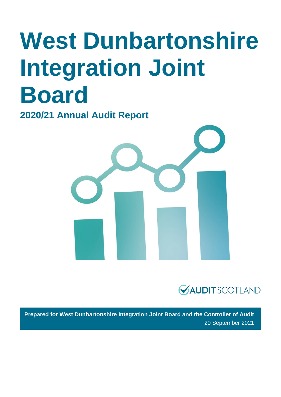# **West Dunbartonshire Integration Joint Board**

**2020/21 Annual Audit Report** 





**Prepared for West Dunbartonshire Integration Joint Board and the Controller of Audit**  20 September 2021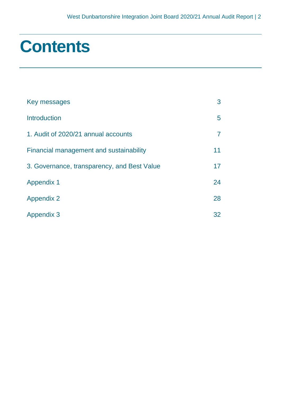## **Contents**

| Key messages                                | 3  |
|---------------------------------------------|----|
| <b>Introduction</b>                         | 5  |
| 1. Audit of 2020/21 annual accounts         |    |
| Financial management and sustainability     | 11 |
| 3. Governance, transparency, and Best Value | 17 |
| <b>Appendix 1</b>                           | 24 |
| <b>Appendix 2</b>                           | 28 |
| <b>Appendix 3</b>                           | 32 |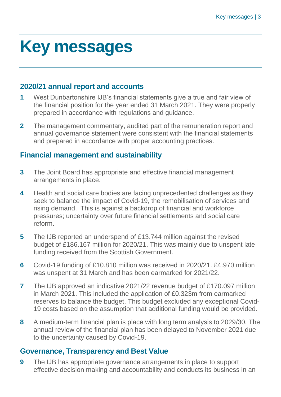## <span id="page-2-0"></span>**Key messages**

## **2020/21 annual report and accounts**

- **1** West Dunbartonshire IJB's financial statements give a true and fair view of the financial position for the year ended 31 March 2021. They were properly prepared in accordance with regulations and guidance.
- **2** The management commentary, audited part of the remuneration report and annual governance statement were consistent with the financial statements and prepared in accordance with proper accounting practices.

## **Financial management and sustainability**

- **3** The Joint Board has appropriate and effective financial management arrangements in place.
- **4** Health and social care bodies are facing unprecedented challenges as they seek to balance the impact of Covid-19, the remobilisation of services and rising demand. This is against a backdrop of financial and workforce pressures; uncertainty over future financial settlements and social care reform.
- **5** The IJB reported an underspend of £13.744 million against the revised budget of £186.167 million for 2020/21. This was mainly due to unspent late funding received from the Scottish Government.
- **6** Covid-19 funding of £10.810 million was received in 2020/21. £4.970 million was unspent at 31 March and has been earmarked for 2021/22.
- **7** The IJB approved an indicative 2021/22 revenue budget of £170.097 million in March 2021. This included the application of £0.323m from earmarked reserves to balance the budget. This budget excluded any exceptional Covid-19 costs based on the assumption that additional funding would be provided.
- **8** A medium-term financial plan is place with long term analysis to 2029/30. The annual review of the financial plan has been delayed to November 2021 due to the uncertainty caused by Covid-19.

## **Governance, Transparency and Best Value**

**9** The IJB has appropriate governance arrangements in place to support effective decision making and accountability and conducts its business in an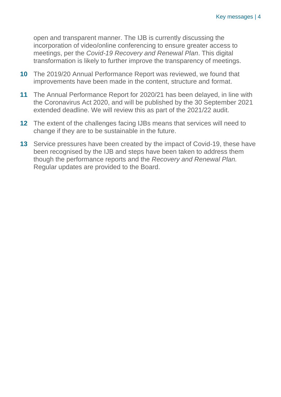open and transparent manner. The IJB is currently discussing the incorporation of video/online conferencing to ensure greater access to meetings, per the *Covid-19 Recovery and Renewal Plan*. This digital transformation is likely to further improve the transparency of meetings.

- **10** The 2019/20 Annual Performance Report was reviewed, we found that improvements have been made in the content, structure and format.
- **11** The Annual Performance Report for 2020/21 has been delayed, in line with the Coronavirus Act 2020, and will be published by the 30 September 2021 extended deadline. We will review this as part of the 2021/22 audit.
- **12** The extent of the challenges facing IJBs means that services will need to change if they are to be sustainable in the future.
- **13** Service pressures have been created by the impact of Covid-19, these have been recognised by the IJB and steps have been taken to address them though the performance reports and the *Recovery and Renewal Plan.* Regular updates are provided to the Board.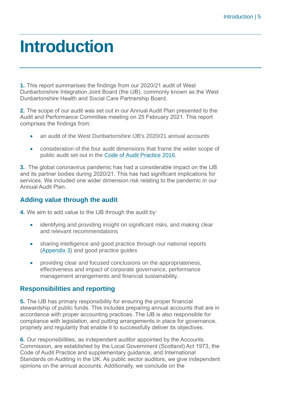## <span id="page-4-0"></span>**Introduction**

**1.** This report summarises the findings from our 2020/21 audit of West Dunbartonshire Integration Joint Board (the IJB), commonly known as the West Dunbartonshire Health and Social Care Partnership Board.

**2.** The scope of our audit was set out in our Annual Audit Plan presented to the Audit and Performance Committee meeting on 25 February 2021. This report comprises the findings from:

- an audit of the West Dunbartonshire IJB's 2020/21 annual accounts
- consideration of the four audit dimensions that frame the wider scope of public audit set out in the [Code of Audit Practice 2016.](http://www.audit-scotland.gov.uk/report/code-of-audit-practice-2016)

**3.** The global coronavirus pandemic has had a considerable impact on the IJB and its partner bodies during 2020/21. This has had significant implications for services. We included one wider dimension risk relating to the pandemic in our Annual Audit Plan.

## **Adding value through the audit**

**4.** We aim to add value to the IJB through the audit by:

- identifying and providing insight on significant risks, and making clear and relevant recommendations
- sharing intelligence and good practice through our national reports [\(Appendix 3\)](#page-31-0) and good practice guides
- providing clear and focused conclusions on the appropriateness, effectiveness and impact of corporate governance, performance management arrangements and financial sustainability.

## **Responsibilities and reporting**

**5.** The IJB has primary responsibility for ensuring the proper financial stewardship of public funds. This includes preparing annual accounts that are in accordance with proper accounting practices. The IJB is also responsible for compliance with legislation, and putting arrangements in place for governance, propriety and regularity that enable it to successfully deliver its objectives.

**6.** Our responsibilities, as independent auditor appointed by the Accounts Commission, are established by the Local Government (Scotland) Act 1973, the Code of Audit Practice and supplementary guidance, and International Standards on Auditing in the UK. As public sector auditors, we give independent opinions on the annual accounts. Additionally, we conclude on the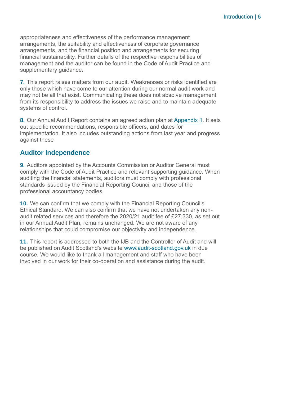appropriateness and effectiveness of the performance management arrangements, the suitability and effectiveness of corporate governance arrangements, and the financial position and arrangements for securing financial sustainability. Further details of the respective responsibilities of management and the auditor can be found in the Code of Audit Practice and supplementary guidance.

**7.** This report raises matters from our audit. Weaknesses or risks identified are only those which have come to our attention during our normal audit work and may not be all that exist. Communicating these does not absolve management from its responsibility to address the issues we raise and to maintain adequate systems of control.

**8.** Our Annual Audit Report contains an agreed action plan at [Appendix 1.](#page-23-0) It sets out specific recommendations, responsible officers, and dates for implementation. It also includes outstanding actions from last year and progress against these

## **Auditor Independence**

**9.** Auditors appointed by the Accounts Commission or Auditor General must comply with the Code of Audit Practice and relevant supporting guidance. When auditing the financial statements, auditors must comply with professional standards issued by the Financial Reporting Council and those of the professional accountancy bodies.

**10.** We can confirm that we comply with the Financial Reporting Council's Ethical Standard. We can also confirm that we have not undertaken any nonaudit related services and therefore the 2020/21 audit fee of £27,330, as set out in our Annual Audit Plan, remains unchanged. We are not aware of any relationships that could compromise our objectivity and independence.

**11.** This report is addressed to both the IJB and the Controller of Audit and will be published on Audit Scotland's website [www.audit-scotland.gov.uk](http://www.audit-scotland.gov.uk/) in due course. We would like to thank all management and staff who have been involved in our work for their co-operation and assistance during the audit.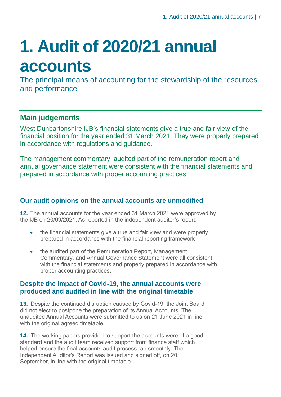# <span id="page-6-0"></span>**1. Audit of 2020/21 annual accounts**

The principal means of accounting for the stewardship of the resources and performance

## **Main judgements**

West Dunbartonshire IJB's financial statements give a true and fair view of the financial position for the year ended 31 March 2021. They were properly prepared in accordance with regulations and guidance.

The management commentary, audited part of the remuneration report and annual governance statement were consistent with the financial statements and prepared in accordance with proper accounting practices

## **Our audit opinions on the annual accounts are unmodified**

**12.** The annual accounts for the year ended 31 March 2021 were approved by the IJB on 20/09/2021. As reported in the independent auditor's report:

- the financial statements give a true and fair view and were properly prepared in accordance with the financial reporting framework
- the audited part of the Remuneration Report, Management Commentary, and Annual Governance Statement were all consistent with the financial statements and properly prepared in accordance with proper accounting practices.

## **Despite the impact of Covid-19, the annual accounts were produced and audited in line with the original timetable**

**13.** Despite the continued disruption caused by Covid-19, the Joint Board did not elect to postpone the preparation of its Annual Accounts. The unaudited Annual Accounts were submitted to us on 21 June 2021 in line with the original agreed timetable.

**14.** The working papers provided to support the accounts were of a good standard and the audit team received support from finance staff which helped ensure the final accounts audit process ran smoothly. The Independent Auditor's Report was issued and signed off, on 20 September, in line with the original timetable.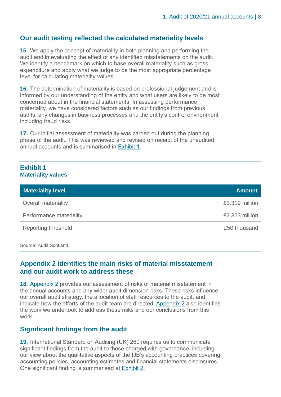## **Our audit testing reflected the calculated materiality levels**

**15.** We apply the concept of materiality in both planning and performing the audit and in evaluating the effect of any identified misstatements on the audit. We identify a benchmark on which to base overall materiality such as gross expenditure and apply what we judge to be the most appropriate percentage level for calculating materiality values.

**16.** The determination of materiality is based on professional judgement and is informed by our understanding of the entity and what users are likely to be most concerned about in the financial statements. In assessing performance materiality, we have considered factors such as our findings from previous audits, any changes in business processes and the entity's control environment including fraud risks.

**17.** Our initial assessment of materiality was carried out during the planning phase of the audit. This was reviewed and revised on receipt of the unaudited annual accounts and is summarised in [Exhibit 1.](#page-7-0)

### <span id="page-7-0"></span>**Exhibit 1 Materiality values**

| <b>Materiality level</b> | <b>Amount</b>  |
|--------------------------|----------------|
| Overall materiality      | £3.319 million |
| Performance materiality  | £2.323 million |
| Reporting threshold      | £50 thousand   |

Source: Audit Scotland

## **Appendix 2 identifies the main risks of material misstatement and our audit work to address these**

**18.** [Appendix 2](#page-27-0) provides our assessment of risks of material misstatement in the annual accounts and any wider audit dimension risks. These risks influence our overall audit strategy, the allocation of staff resources to the audit, and indicate how the efforts of the audit team are directed. [Appendix 2](#page-27-0) also identifies the work we undertook to address these risks and our conclusions from this work.

## **Significant findings from the audit**

**19.** International Standard on Auditing (UK) 260 requires us to communicate significant findings from the audit to those charged with governance, including our view about the qualitative aspects of the IJB's accounting practices covering accounting policies, accounting estimates and financial statements disclosures. One significant finding is summarised at [Exhibit 2.](#page-8-0)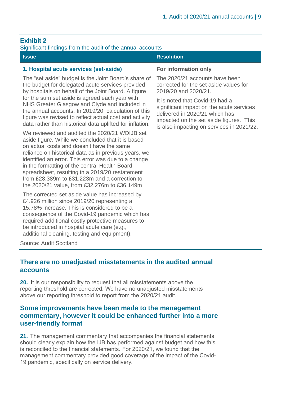## <span id="page-8-0"></span>**Exhibit 2**

#### Significant findings from the audit of the annual accounts

| <b>Issue</b>                                                                                                                                                                                                                                                                                                                                                                                                                                                        | <b>Resolution</b>                                                                                                                                                                                                 |
|---------------------------------------------------------------------------------------------------------------------------------------------------------------------------------------------------------------------------------------------------------------------------------------------------------------------------------------------------------------------------------------------------------------------------------------------------------------------|-------------------------------------------------------------------------------------------------------------------------------------------------------------------------------------------------------------------|
| 1. Hospital acute services (set-aside)                                                                                                                                                                                                                                                                                                                                                                                                                              | For information only                                                                                                                                                                                              |
| The "set aside" budget is the Joint Board's share of<br>the budget for delegated acute services provided<br>by hospitals on behalf of the Joint Board. A figure<br>for the sum set aside is agreed each year with<br>NHS Greater Glasgow and Clyde and included in<br>the annual accounts. In 2019/20, calculation of this                                                                                                                                          | The 2020/21 accounts have been<br>corrected for the set aside values for<br>2019/20 and 2020/21.<br>It is noted that Covid-19 had a<br>significant impact on the acute services<br>delivered in 2020/21 which has |
| figure was revised to reflect actual cost and activity<br>data rather than historical data uplifted for inflation.                                                                                                                                                                                                                                                                                                                                                  | impacted on the set aside figures. This<br>is also impacting on services in 2021/22.                                                                                                                              |
| We reviewed and audited the 2020/21 WDIJB set<br>aside figure. While we concluded that it is based<br>on actual costs and doesn't have the same<br>reliance on historical data as in previous years, we<br>identified an error. This error was due to a change<br>in the formatting of the central Health Board<br>spreadsheet, resulting in a 2019/20 restatement<br>from £28,389m to £31,223m and a correction to<br>the 2020/21 value, from £32.276m to £36.149m |                                                                                                                                                                                                                   |
| The corrected set aside value has increased by<br>£4.926 million since 2019/20 representing a<br>15.78% increase. This is considered to be a<br>consequence of the Covid-19 pandemic which has<br>required additional costly protective measures to<br>be introduced in hospital acute care (e.g.,                                                                                                                                                                  |                                                                                                                                                                                                                   |

Source: Audit Scotland

additional cleaning, testing and equipment).

## **There are no unadjusted misstatements in the audited annual accounts**

**20.** It is our responsibility to request that all misstatements above the reporting threshold are corrected. We have no unadjusted misstatements above our reporting threshold to report from the 2020/21 audit.

### **Some improvements have been made to the management commentary, however it could be enhanced further into a more user-friendly format**

**21.** The management commentary that accompanies the financial statements should clearly explain how the IJB has performed against budget and how this is reconciled to the financial statements. For 2020/21, we found that the management commentary provided good coverage of the impact of the Covid-19 pandemic, specifically on service delivery.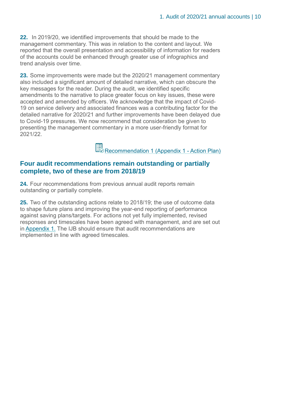**22.** In 2019/20, we identified improvements that should be made to the management commentary. This was in relation to the content and layout. We reported that the overall presentation and accessibility of information for readers of the accounts could be enhanced through greater use of infographics and trend analysis over time.

<span id="page-9-0"></span>**23.** Some improvements were made but the 2020/21 management commentary also included a significant amount of detailed narrative, which can obscure the key messages for the reader. During the audit, we identified specific amendments to the narrative to place greater focus on key issues, these were accepted and amended by officers. We acknowledge that the impact of Covid-19 on service delivery and associated finances was a contributing factor for the detailed narrative for 2020/21 and further improvements have been delayed due to Covid-19 pressures. We now recommend that consideration be given to presenting the management commentary in a more user-friendly format for 2021/22.

Recommendation 1 (Appendix 1 - Action Plan)

## **Four audit recommendations remain outstanding or partially complete, two of these are from 2018/19**

**24.** Four recommendations from previous annual audit reports remain outstanding or partially complete.

**25.** Two of the outstanding actions relate to 2018/19; the use of outcome data to shape future plans and improving the year-end reporting of performance against saving plans/targets. For actions not yet fully implemented, revised responses and timescales have been agreed with management, and are set out in [Appendix 1.](#page-23-0) The IJB should ensure that audit recommendations are implemented in line with agreed timescales.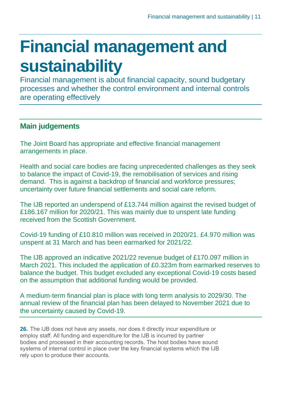## <span id="page-10-0"></span>**Financial management and sustainability**

Financial management is about financial capacity, sound budgetary processes and whether the control environment and internal controls are operating effectively

## **Main judgements**

The Joint Board has appropriate and effective financial management arrangements in place.

Health and social care bodies are facing unprecedented challenges as they seek to balance the impact of Covid-19, the remobilisation of services and rising demand. This is against a backdrop of financial and workforce pressures; uncertainty over future financial settlements and social care reform.

The IJB reported an underspend of £13.744 million against the revised budget of £186.167 million for 2020/21. This was mainly due to unspent late funding received from the Scottish Government.

Covid-19 funding of £10.810 million was received in 2020/21. £4.970 million was unspent at 31 March and has been earmarked for 2021/22.

The IJB approved an indicative 2021/22 revenue budget of £170.097 million in March 2021. This included the application of £0.323m from earmarked reserves to balance the budget. This budget excluded any exceptional Covid-19 costs based on the assumption that additional funding would be provided.

A medium-term financial plan is place with long term analysis to 2029/30. The annual review of the financial plan has been delayed to November 2021 due to the uncertainty caused by Covid-19.

**26.** The IJB does not have any assets, nor does it directly incur expenditure or employ staff. All funding and expenditure for the IJB is incurred by partner bodies and processed in their accounting records. The host bodies have sound systems of internal control in place over the key financial systems which the IJB rely upon to produce their accounts.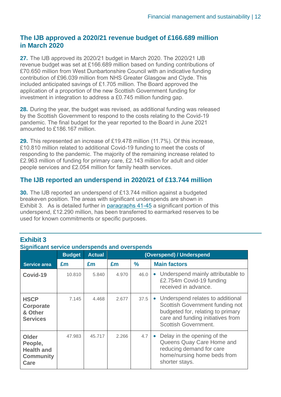## **The IJB approved a 2020/21 revenue budget of £166.689 million in March 2020**

**27.** The IJB approved its 2020/21 budget in March 2020. The 2020/21 IJB revenue budget was set at £166.689 million based on funding contributions of £70.650 million from West Dunbartonshire Council with an indicative funding contribution of £96.039 million from NHS Greater Glasgow and Clyde. This included anticipated savings of £1.705 million. The Board approved the application of a proportion of the new Scottish Government funding for investment in integration to address a £0.745 million funding gap.

**28.** During the year, the budget was revised, as additional funding was released by the Scottish Government to respond to the costs relating to the Covid-19 pandemic. The final budget for the year reported to the Board in June 2021 amounted to £186.167 million.

<span id="page-11-0"></span>**29.** This represented an increase of £19.478 million (11.7%). Of this increase, £10.810 million related to additional Covid-19 funding to meet the costs of responding to the pandemic. The majority of the remaining increase related to £2.963 million of funding for primary care, £2.143 million for adult and older people services and £2.054 million for family health services.

## **The IJB reported an underspend in 2020/21 of £13.744 million**

**30.** The IJB reported an underspend of £13.744 million against a budgeted breakeven position. The areas with significant underspends are shown in Exhibit 3. As is detailed further in [paragraphs 41-45](#page-13-0) a significant portion of this underspend, £12.290 million, has been transferred to earmarked reserves to be used for known commitments or specific purposes.

| <u>Significant service underspends and Overspends</u>                    |               |               |                          |               |                                                                                                                                                                                |
|--------------------------------------------------------------------------|---------------|---------------|--------------------------|---------------|--------------------------------------------------------------------------------------------------------------------------------------------------------------------------------|
|                                                                          | <b>Budget</b> | <b>Actual</b> | (Overspend) / Underspend |               |                                                                                                                                                                                |
| <b>Service area</b>                                                      | £m            | £m            | £m                       | $\frac{9}{6}$ | <b>Main factors</b>                                                                                                                                                            |
| Covid-19                                                                 | 10.810        | 5.840         | 4.970                    | 46.0          | Underspend mainly attributable to<br>$\bullet$<br>£2.754m Covid-19 funding<br>received in advance.                                                                             |
| <b>HSCP</b><br>Corporate<br>& Other<br><b>Services</b>                   | 7.145         | 4.468         | 2.677                    | 37.5          | • Underspend relates to additional<br>Scottish Government funding not<br>budgeted for, relating to primary<br>care and funding initiatives from<br><b>Scottish Government.</b> |
| <b>Older</b><br>People,<br><b>Health and</b><br><b>Community</b><br>Care | 47.983        | 45.717        | 2.266                    | 4.7           | Delay in the opening of the<br>$\bullet$<br>Queens Quay Care Home and<br>reducing demand for care<br>home/nursing home beds from<br>shorter stays.                             |

## **Exhibit 3**

## **Significant service underspends and overspends**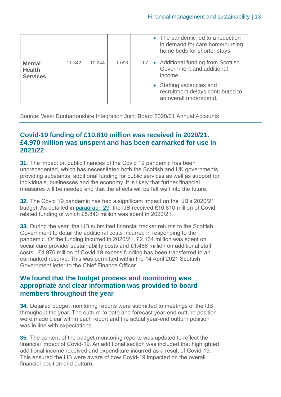|                                                   |        |        |       |     | • The pandemic led to a reduction<br>in demand for care home/nursing<br>home beds for shorter stays. |
|---------------------------------------------------|--------|--------|-------|-----|------------------------------------------------------------------------------------------------------|
| <b>Mental</b><br><b>Health</b><br><b>Services</b> | 11.342 | 10.244 | 1.098 | 9.7 | • Additional funding from Scottish<br>Government and additional<br>income.                           |
|                                                   |        |        |       |     | • Staffing vacancies and<br>recruitment delays contributed to<br>an overall underspend.              |

Source: West Dunbartonshire Integration Joint Board 2020/21 Annual Accounts

## **Covid-19 funding of £10.810 million was received in 2020/21. £4.970 million was unspent and has been earmarked for use in 2021/22**

**31.** The impact on public finances of the Covid 19 pandemic has been unprecedented, which has necessitated both the Scottish and UK governments providing substantial additional funding for public services as well as support for individuals, businesses and the economy. It is likely that further financial measures will be needed and that the effects will be felt well into the future.

**32.** The Covid 19 pandemic has had a significant impact on the IJB's 2020/21 budget. As detailed in [paragraph 29,](#page-11-0) the IJB received £10.810 million of Covid related funding of which £5.840 million was spent in 2020/21.

**33.** During the year, the IJB submitted financial tracker returns to the Scottish Government to detail the additional costs incurred in responding to the pandemic. Of the funding incurred in 2020/21, £2.164 million was spent on social care provider sustainability costs and £1.486 million on additional staff costs. £4.970 million of Covid 19 excess funding has been transferred to an earmarked reserve. This was permitted within the 14 April 2021 Scottish Government letter to the Chief Finance Officer.

## **We found that the budget process and monitoring was appropriate and clear information was provided to board members throughout the year**

**34.** Detailed budget monitoring reports were submitted to meetings of the IJB throughout the year. The outturn to date and forecast year-end outturn position were made clear within each report and the actual year-end outturn position was in line with expectations.

**35.** The content of the budget monitoring reports was updated to reflect the financial impact of Covid-19. An additional section was included that highlighted additional income received and expenditure incurred as a result of Covid-19. This ensured the IJB were aware of how Covid-19 impacted on the overall financial position and outturn.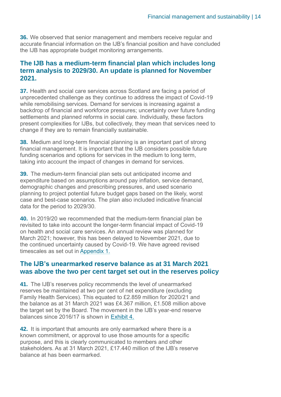**36.** We observed that senior management and members receive regular and accurate financial information on the IJB's financial position and have concluded the IJB has appropriate budget monitoring arrangements.

## **The IJB has a medium-term financial plan which includes long term analysis to 2029/30. An update is planned for November 2021.**

**37.** Health and social care services across Scotland are facing a period of unprecedented challenge as they continue to address the impact of Covid-19 while remobilising services. Demand for services is increasing against a backdrop of financial and workforce pressures; uncertainty over future funding settlements and planned reforms in social care. Individually, these factors present complexities for IJBs, but collectively, they mean that services need to change if they are to remain financially sustainable.

**38.** Medium and long-term financial planning is an important part of strong financial management. It is important that the IJB considers possible future funding scenarios and options for services in the medium to long term, taking into account the impact of changes in demand for services.

**39.** The medium-term financial plan sets out anticipated income and expenditure based on assumptions around pay inflation, service demand, demographic changes and prescribing pressures, and used scenario planning to project potential future budget gaps based on the likely, worst case and best-case scenarios. The plan also included indicative financial data for the period to 2029/30.

**40.** In 2019/20 we recommended that the medium-term financial plan be revisited to take into account the longer-term financial impact of Covid-19 on health and social care services. An annual review was planned for March 2021; however, this has been delayed to November 2021, due to the continued uncertainty caused by Covid-19. We have agreed revised timescales as set out in [Appendix 1.](#page-23-0)

## **The IJB's unearmarked reserve balance as at 31 March 2021 was above the two per cent target set out in the reserves policy**

<span id="page-13-0"></span>**41.** The IJB's reserves policy recommends the level of unearmarked reserves be maintained at two per cent of net expenditure (excluding Family Health Services). This equated to £2.859 million for 2020/21 and the balance as at 31 March 2021 was £4.367 million, £1.508 million above the target set by the Board. The movement in the IJB's year-end reserve balances since 2016/17 is shown in [Exhibit 4.](#page-14-0)

**42.** It is important that amounts are only earmarked where there is a known commitment, or approval to use those amounts for a specific purpose, and this is clearly communicated to members and other stakeholders. As at 31 March 2021, £17.440 million of the IJB's reserve balance at has been earmarked.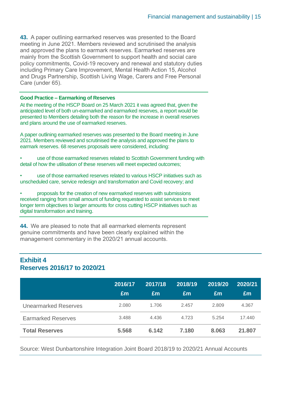**43.** A paper outlining earmarked reserves was presented to the Board meeting in June 2021. Members reviewed and scrutinised the analysis and approved the plans to earmark reserves. Earmarked reserves are mainly from the Scottish Government to support health and social care policy commitments, Covid-19 recovery and renewal and statutory duties including Primary Care Improvement, Mental Health Action 15, Alcohol and Drugs Partnership, Scottish Living Wage, Carers and Free Personal Care (under 65).

#### **Good Practice – Earmarking of Reserves**

At the meeting of the HSCP Board on 25 March 2021 it was agreed that, given the anticipated level of both un-earmarked and earmarked reserves, a report would be presented to Members detailing both the reason for the increase in overall reserves and plans around the use of earmarked reserves.

A paper outlining earmarked reserves was presented to the Board meeting in June 2021. Members reviewed and scrutinised the analysis and approved the plans to earmark reserves. 68 reserves proposals were considered, including:

• use of those earmarked reserves related to Scottish Government funding with detail of how the utilisation of these reserves will meet expected outcomes;

• use of those earmarked reserves related to various HSCP initiatives such as unscheduled care, service redesign and transformation and Covid recovery; and

• proposals for the creation of new earmarked reserves with submissions received ranging from small amount of funding requested to assist services to meet longer term objectives to larger amounts for cross cutting HSCP initiatives such as digital transformation and training.

**44.** We are pleased to note that all earmarked elements represent genuine commitments and have been clearly explained within the management commentary in the 2020/21 annual accounts.

## <span id="page-14-0"></span>**Exhibit 4 Reserves 2016/17 to 2020/21**

|                             | 2016/17<br>£m | 2017/18<br>Em | 2018/19<br>Em | 2019/20<br>£m | 2020/21<br>Em |
|-----------------------------|---------------|---------------|---------------|---------------|---------------|
| <b>Unearmarked Reserves</b> | 2.080         | 1.706         | 2.457         | 2.809         | 4.367         |
| <b>Earmarked Reserves</b>   | 3.488         | 4.436         | 4.723         | 5.254         | 17.440        |
| <b>Total Reserves</b>       | 5.568         | 6.142         | 7.180         | 8.063         | 21.807        |

Source: West Dunbartonshire Integration Joint Board 2018/19 to 2020/21 Annual Accounts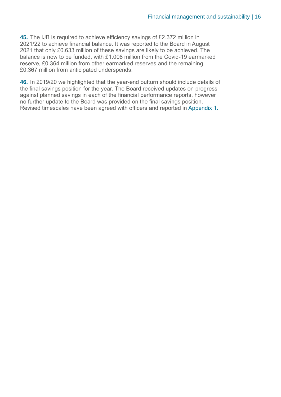**45.** The IJB is required to achieve efficiency savings of £2.372 million in 2021/22 to achieve financial balance. It was reported to the Board in August 2021 that only £0.633 million of these savings are likely to be achieved. The balance is now to be funded, with £1.008 million from the Covid-19 earmarked reserve, £0.364 million from other earmarked reserves and the remaining £0.367 million from anticipated underspends.

**46.** In 2019/20 we highlighted that the year-end outturn should include details of the final savings position for the year. The Board received updates on progress against planned savings in each of the financial performance reports, however no further update to the Board was provided on the final savings position. Revised timescales have been agreed with officers and reported in [Appendix 1.](#page-23-0)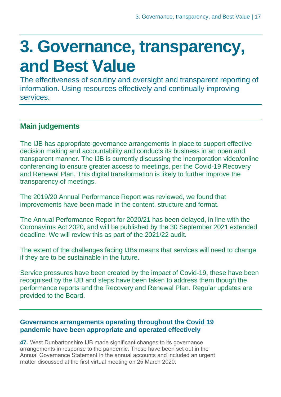## <span id="page-16-0"></span>**3. Governance, transparency, and Best Value**

The effectiveness of scrutiny and oversight and transparent reporting of information. Using resources effectively and continually improving services.

## **Main judgements**

The IJB has appropriate governance arrangements in place to support effective decision making and accountability and conducts its business in an open and transparent manner. The IJB is currently discussing the incorporation video/online conferencing to ensure greater access to meetings, per the Covid-19 Recovery and Renewal Plan. This digital transformation is likely to further improve the transparency of meetings.

The 2019/20 Annual Performance Report was reviewed, we found that improvements have been made in the content, structure and format.

The Annual Performance Report for 2020/21 has been delayed, in line with the Coronavirus Act 2020, and will be published by the 30 September 2021 extended deadline. We will review this as part of the 2021/22 audit.

The extent of the challenges facing IJBs means that services will need to change if they are to be sustainable in the future.

Service pressures have been created by the impact of Covid-19, these have been recognised by the IJB and steps have been taken to address them though the performance reports and the Recovery and Renewal Plan. Regular updates are provided to the Board.

## **Governance arrangements operating throughout the Covid 19 pandemic have been appropriate and operated effectively**

**47.** West Dunbartonshire IJB made significant changes to its governance arrangements in response to the pandemic. These have been set out in the Annual Governance Statement in the annual accounts and included an urgent matter discussed at the first virtual meeting on 25 March 2020: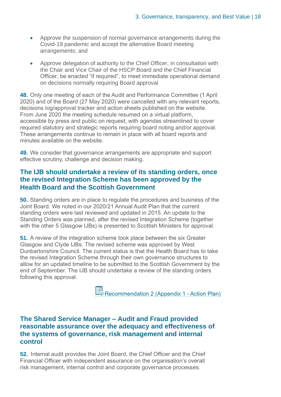- Approve the suspension of normal governance arrangements during the Covid-19 pandemic and accept the alternative Board meeting arrangements; and
- Approve delegation of authority to the Chief Officer, in consultation with the Chair and Vice Chair of the HSCP Board and the Chief Financial Officer, be enacted "if required", to meet immediate operational demand on decisions normally requiring Board approval

**48.** Only one meeting of each of the Audit and Performance Committee (1 April 2020) and of the Board (27 May 2020) were cancelled with any relevant reports, decisions log/approval tracker and action sheets published on the website. From June 2020 the meeting schedule resumed on a virtual platform, accessible by press and public on request, with agendas streamlined to cover required statutory and strategic reports requiring board noting and/or approval. These arrangements continue to remain in place with all board reports and minutes available on the website.

**49.** We consider that governance arrangements are appropriate and support effective scrutiny, challenge and decision making.

## **The IJB should undertake a review of its standing orders, once the revised Integration Scheme has been approved by the Health Board and the Scottish Government**

**50.** Standing orders are in place to regulate the procedures and business of the Joint Board. We noted in our 2020/21 Annual Audit Plan that the current standing orders were last reviewed and updated in 2015. An update to the Standing Orders was planned, after the revised Integration Scheme (together with the other 5 Glasgow IJBs) is presented to Scottish Ministers for approval.

<span id="page-17-0"></span>**51.** A review of the integration scheme took place between the six Greater Glasgow and Clyde IJBs. The revised scheme was approved by West Dunbartonshire Council. The current status is that the Health Board has to take the revised Integration Scheme through their own governance structures to allow for an updated timeline to be submitted to the Scottish Government by the end of September. The IJB should undertake a review of the standing orders following this approval.

Recommendation 2 (Appendix 1 - Action Plan)

## **The Shared Service Manager – Audit and Fraud provided reasonable assurance over the adequacy and effectiveness of the systems of governance, risk management and internal control**

**52.** Internal audit provides the Joint Board, the Chief Officer and the Chief Financial Officer with independent assurance on the organisation's overall risk management, internal control and corporate governance processes.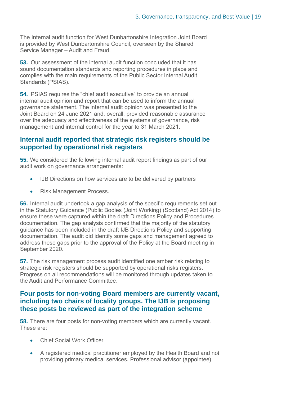The Internal audit function for West Dunbartonshire Integration Joint Board is provided by West Dunbartonshire Council, overseen by the Shared Service Manager – Audit and Fraud.

**53.** Our assessment of the internal audit function concluded that it has sound documentation standards and reporting procedures in place and complies with the main requirements of the Public Sector Internal Audit Standards (PSIAS).

**54.** PSIAS requires the "chief audit executive" to provide an annual internal audit opinion and report that can be used to inform the annual governance statement. The internal audit opinion was presented to the Joint Board on 24 June 2021 and, overall, provided reasonable assurance over the adequacy and effectiveness of the systems of governance, risk management and internal control for the year to 31 March 2021.

## **Internal audit reported that strategic risk registers should be supported by operational risk registers**

**55.** We considered the following internal audit report findings as part of our audit work on governance arrangements:

- IJB Directions on how services are to be delivered by partners
- Risk Management Process.

**56.** Internal audit undertook a gap analysis of the specific requirements set out in the Statutory Guidance (Public Bodies (Joint Working) (Scotland) Act 2014) to ensure these were captured within the draft Directions Policy and Procedures documentation. The gap analysis confirmed that the majority of the statutory guidance has been included in the draft IJB Directions Policy and supporting documentation. The audit did identify some gaps and management agreed to address these gaps prior to the approval of the Policy at the Board meeting in September 2020.

**57.** The risk management process audit identified one amber risk relating to strategic risk registers should be supported by operational risks registers. Progress on all recommendations will be monitored through updates taken to the Audit and Performance Committee.

## **Four posts for non-voting Board members are currently vacant, including two chairs of locality groups. The IJB is proposing these posts be reviewed as part of the integration scheme**

**58.** There are four posts for non-voting members which are currently vacant. These are:

- Chief Social Work Officer
- A registered medical practitioner employed by the Health Board and not providing primary medical services. Professional advisor (appointee)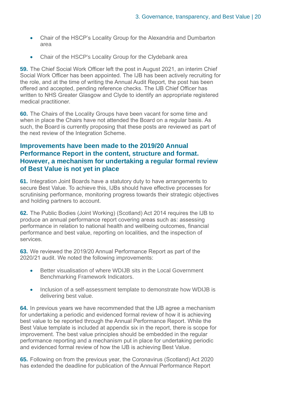- Chair of the HSCP's Locality Group for the Alexandria and Dumbarton area
- Chair of the HSCP's Locality Group for the Clydebank area

**59.** The Chief Social Work Officer left the post in August 2021, an interim Chief Social Work Officer has been appointed. The IJB has been actively recruiting for the role, and at the time of writing the Annual Audit Report, the post has been offered and accepted, pending reference checks. The IJB Chief Officer has written to NHS Greater Glasgow and Clyde to identify an appropriate registered medical practitioner.

**60.** The Chairs of the Locality Groups have been vacant for some time and when in place the Chairs have not attended the Board on a regular basis. As such, the Board is currently proposing that these posts are reviewed as part of the next review of the Integration Scheme.

## **Improvements have been made to the 2019/20 Annual Performance Report in the content, structure and format. However, a mechanism for undertaking a regular formal review of Best Value is not yet in place**

**61.** Integration Joint Boards have a statutory duty to have arrangements to secure Best Value. To achieve this, IJBs should have effective processes for scrutinising performance, monitoring progress towards their strategic objectives and holding partners to account.

**62.** The Public Bodies (Joint Working) (Scotland) Act 2014 requires the IJB to produce an annual performance report covering areas such as: assessing performance in relation to national health and wellbeing outcomes, financial performance and best value, reporting on localities, and the inspection of services.

**63.** We reviewed the 2019/20 Annual Performance Report as part of the 2020/21 audit. We noted the following improvements:

- Better visualisation of where WDIJB sits in the Local Government Benchmarking Framework Indicators.
- Inclusion of a self-assessment template to demonstrate how WDIJB is delivering best value.

**64.** In previous years we have recommended that the IJB agree a mechanism for undertaking a periodic and evidenced formal review of how it is achieving best value to be reported through the Annual Performance Report. While the Best Value template is included at appendix six in the report, there is scope for improvement. The best value principles should be embedded in the regular performance reporting and a mechanism put in place for undertaking periodic and evidenced formal review of how the IJB is achieving Best Value.

**65.** Following on from the previous year, the Coronavirus (Scotland) Act 2020 has extended the deadline for publication of the Annual Performance Report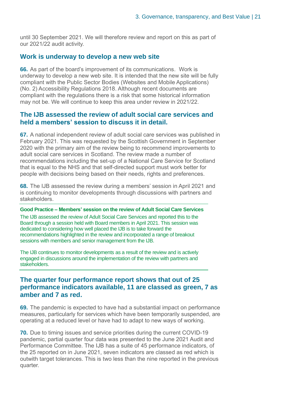until 30 September 2021. We will therefore review and report on this as part of our 2021/22 audit activity.

### **Work is underway to develop a new web site**

**66.** As part of the board's improvement of its communications. Work is underway to develop a new web site. It is intended that the new site will be fully compliant with the Public Sector Bodies (Websites and Mobile Applications) (No. 2) Accessibility Regulations 2018. Although recent documents are compliant with the regulations there is a risk that some historical information may not be. We will continue to keep this area under review in 2021/22.

## **The IJB assessed the review of adult social care services and held a members' session to discuss it in detail.**

**67.** A national independent review of adult social care services was published in February 2021. This was requested by the Scottish Government in September 2020 with the primary aim of the review being to recommend improvements to adult social care services in Scotland. The review made a number of recommendations including the set-up of a National Care Service for Scotland that is equal to the NHS and that self-directed support must work better for people with decisions being based on their needs, rights and preferences.

**68.** The IJB assessed the review during a members' session in April 2021 and is continuing to monitor developments through discussions with partners and stakeholders.

#### **Good Practice – Members' session on the review of Adult Social Care Services**

The IJB assessed the review of Adult Social Care Services and reported this to the Board through a session held with Board members in April 2021. This session was dedicated to considering how well placed the IJB is to take forward the recommendations highlighted in the review and incorporated a range of breakout sessions with members and senior management from the IJB.

The IJB continues to monitor developments as a result of the review and is actively engaged in discussions around the implementation of the review with partners and stakeholders.

## **The quarter four performance report shows that out of 25 performance indicators available, 11 are classed as green, 7 as amber and 7 as red.**

**69.** The pandemic is expected to have had a substantial impact on performance measures, particularly for services which have been temporarily suspended, are operating at a reduced level or have had to adapt to new ways of working.

**70.** Due to timing issues and service priorities during the current COVID-19 pandemic, partial quarter four data was presented to the June 2021 Audit and Performance Committee. The IJB has a suite of 45 performance indicators, of the 25 reported on in June 2021, seven indicators are classed as red which is outwith target tolerances. This is two less than the nine reported in the previous quarter.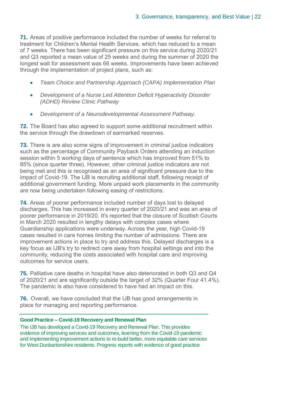**71.** Areas of positive performance included the number of weeks for referral to treatment for Children's Mental Health Services, which has reduced to a mean of 7 weeks. There has been significant pressure on this service during 2020/21 and Q3 reported a mean value of 25 weeks and during the summer of 2020 the longest wait for assessment was 66 weeks. Improvements have been achieved through the implementation of project plans, such as:

- *Team Choice and Partnership Approach (CAPA) Implementation Plan*
- *Development of a Nurse Led Attention Deficit Hyperactivity Disorder (ADHD) Review Clinic Pathway*
- *Development of a Neurodevelopmental Assessment Pathway.*

**72.** The Board has also agreed to support some additional recruitment within the service through the drawdown of earmarked reserves.

**73.** There is are also some signs of improvement in criminal justice indicators such as the percentage of Community Payback Orders attending an induction session within 5 working days of sentence which has improved from 51% to 85% (since quarter three). However, other criminal justice indicators are not being met and this is recognised as an area of significant pressure due to the impact of Covid-19. The IJB is recruiting additional staff, following receipt of additional government funding. More unpaid work placements in the community are now being undertaken following easing of restrictions.

**74.** Areas of poorer performance included number of days lost to delayed discharges. This has increased in every quarter of 2020/21 and was an area of poorer performance in 2019/20. It's reported that the closure of Scottish Courts in March 2020 resulted in lengthy delays with complex cases where Guardianship applications were underway. Across the year, high Covid-19 cases resulted in care homes limiting the number of admissions. There are improvement actions in place to try and address this. Delayed discharges is a key focus as IJB's try to redirect care away from hospital settings and into the community, reducing the costs associated with hospital care and improving outcomes for service users.

**75.** Palliative care deaths in hospital have also deteriorated in both Q3 and Q4 of 2020/21 and are significantly outside the target of 32% (Quarter Four 41.4%). The pandemic is also have considered to have had an impact on this.

**76.** Overall, we have concluded that the IJB has good arrangements in place for managing and reporting performance.

#### **Good Practice – Covid-19 Recovery and Renewal Plan**

The IJB has developed a Covid-19 Recovery and Renewal Plan. This provides evidence of improving services and outcomes, learning from the Covid-19 pandemic and implementing improvement actions to re-build better, more equitable care services for West Dunbartonshire residents. Progress reports with evidence of good practice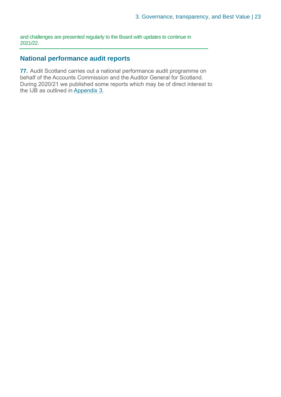and challenges are presented regularly to the Board with updates to continue in 2021/22.

## **National performance audit reports**

**77.** Audit Scotland carries out a national performance audit programme on behalf of the Accounts Commission and the Auditor General for Scotland. During 2020/21 we published some reports which may be of direct interest to the IJB as outlined in [Appendix 3.](#page-31-0)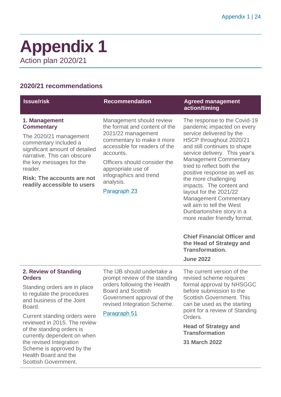## <span id="page-23-0"></span>**Appendix 1** Action plan 2020/21

## **2020/21 recommendations**

Scottish Government.

| <b>Issue/risk</b>                                                                                                                                                                                                                                                 | <b>Recommendation</b>                                                                                                                                                                                                                                                    | <b>Agreed management</b><br>action/timing                                                                                                                                                                                                                                                                                                                                                                                                                                               |
|-------------------------------------------------------------------------------------------------------------------------------------------------------------------------------------------------------------------------------------------------------------------|--------------------------------------------------------------------------------------------------------------------------------------------------------------------------------------------------------------------------------------------------------------------------|-----------------------------------------------------------------------------------------------------------------------------------------------------------------------------------------------------------------------------------------------------------------------------------------------------------------------------------------------------------------------------------------------------------------------------------------------------------------------------------------|
| 1. Management<br><b>Commentary</b><br>The 2020/21 management<br>commentary included a<br>significant amount of detailed<br>narrative. This can obscure<br>the key messages for the<br>reader.<br><b>Risk: The accounts are not</b><br>readily accessible to users | Management should review<br>the format and content of the<br>2021/22 management<br>commentary to make it more<br>accessible for readers of the<br>accounts.<br>Officers should consider the<br>appropriate use of<br>infographics and trend<br>analysis.<br>Paragraph 23 | The response to the Covid-19<br>pandemic impacted on every<br>service delivered by the<br>HSCP throughout 2020/21<br>and still continues to shape<br>service delivery. This year's<br><b>Management Commentary</b><br>tried to reflect both the<br>positive response as well as<br>the more challenging<br>impacts. The content and<br>layout for the 2021/22<br><b>Management Commentary</b><br>will aim to tell the West<br>Dunbartonshire story in a<br>more reader friendly format. |
|                                                                                                                                                                                                                                                                   |                                                                                                                                                                                                                                                                          | <b>Chief Financial Officer and</b><br>the Head of Strategy and<br><b>Transformation.</b><br><b>June 2022</b>                                                                                                                                                                                                                                                                                                                                                                            |
| 2. Review of Standing<br><b>Orders</b><br>Standing orders are in place<br>to regulate the procedures<br>and business of the Joint<br>Board.<br>Current standing orders were                                                                                       | The IJB should undertake a<br>prompt review of the standing<br>orders following the Health<br><b>Board and Scottish</b><br>Government approval of the<br>revised Integration Scheme.<br>Paragraph 51                                                                     | The current version of the<br>revised scheme requires<br>formal approval by NHSGGC<br>before submission to the<br><b>Scottish Government. This</b><br>can be used as the starting<br>point for a review of Standing<br>Orders.                                                                                                                                                                                                                                                          |
| reviewed in 2015. The review<br>of the standing orders is<br>currently dependent on when<br>the revised Integration<br>Scheme is approved by the<br>Health Board and the                                                                                          |                                                                                                                                                                                                                                                                          | <b>Head of Strategy and</b><br><b>Transformation</b><br><b>31 March 2022</b>                                                                                                                                                                                                                                                                                                                                                                                                            |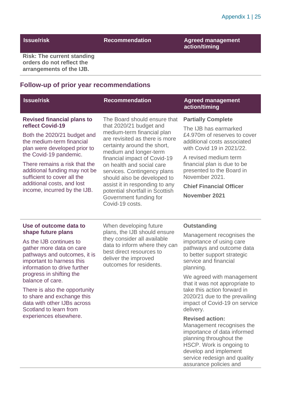**Issue/risk Manual Recommendation Agreed management action/timing**

assurance policies and

**Risk: The current standing orders do not reflect the arrangements of the IJB.**

## **Follow-up of prior year recommendations**

| <b>Issue/risk</b>                                                                                                                                                                                                                                                                                                                                                                                  | <b>Recommendation</b>                                                                                                                                                                                                                                                                                                                                                                                                         | <b>Agreed management</b><br>action/timing                                                                                                                                                                                                                                                                                                                                                                                                                                                                                                                        |
|----------------------------------------------------------------------------------------------------------------------------------------------------------------------------------------------------------------------------------------------------------------------------------------------------------------------------------------------------------------------------------------------------|-------------------------------------------------------------------------------------------------------------------------------------------------------------------------------------------------------------------------------------------------------------------------------------------------------------------------------------------------------------------------------------------------------------------------------|------------------------------------------------------------------------------------------------------------------------------------------------------------------------------------------------------------------------------------------------------------------------------------------------------------------------------------------------------------------------------------------------------------------------------------------------------------------------------------------------------------------------------------------------------------------|
| <b>Revised financial plans to</b><br>reflect Covid-19<br>Both the 2020/21 budget and<br>the medium-term financial<br>plan were developed prior to<br>the Covid-19 pandemic.<br>There remains a risk that the<br>additional funding may not be<br>sufficient to cover all the<br>additional costs, and lost<br>income, incurred by the IJB.                                                         | The Board should ensure that<br>that 2020/21 budget and<br>medium-term financial plan<br>are revisited as there is more<br>certainty around the short,<br>medium and longer-term<br>financial impact of Covid-19<br>on health and social care<br>services. Contingency plans<br>should also be developed to<br>assist it in responding to any<br>potential shortfall in Scottish<br>Government funding for<br>Covid-19 costs. | <b>Partially Complete</b><br>The IJB has earmarked<br>£4.970m of reserves to cover<br>additional costs associated<br>with Covid 19 in 2021/22.<br>A revised medium term<br>financial plan is due to be<br>presented to the Board in<br>November 2021.<br><b>Chief Financial Officer</b><br><b>November 2021</b>                                                                                                                                                                                                                                                  |
| Use of outcome data to<br>shape future plans<br>As the IJB continues to<br>gather more data on care<br>pathways and outcomes, it is<br>important to harness this<br>information to drive further<br>progress in shifting the<br>balance of care.<br>There is also the opportunity<br>to share and exchange this<br>data with other IJBs across<br>Scotland to learn from<br>experiences elsewhere. | When developing future<br>plans, the IJB should ensure<br>they consider all available<br>data to inform where they can<br>best direct resources to<br>deliver the improved<br>outcomes for residents.                                                                                                                                                                                                                         | <b>Outstanding</b><br>Management recognises the<br>importance of using care<br>pathways and outcome data<br>to better support strategic<br>service and financial<br>planning.<br>We agreed with management<br>that it was not appropriate to<br>take this action forward in<br>2020/21 due to the prevailing<br>impact of Covid-19 on service<br>delivery.<br><b>Revised action:</b><br>Management recognises the<br>importance of data informed<br>planning throughout the<br>HSCP. Work is ongoing to<br>develop and implement<br>service redesign and quality |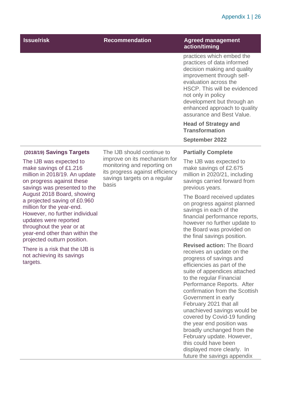## Appendix 1 | 26

| <b>Issue/risk</b>                                                                                                                                                                                                                                | <b>Recommendation</b>                                                                                                                   | <b>Agreed management</b><br>action/timing                                                                                                                                                                                                                                                                                                                                                                                                                                                                                                       |
|--------------------------------------------------------------------------------------------------------------------------------------------------------------------------------------------------------------------------------------------------|-----------------------------------------------------------------------------------------------------------------------------------------|-------------------------------------------------------------------------------------------------------------------------------------------------------------------------------------------------------------------------------------------------------------------------------------------------------------------------------------------------------------------------------------------------------------------------------------------------------------------------------------------------------------------------------------------------|
|                                                                                                                                                                                                                                                  |                                                                                                                                         | practices which embed the<br>practices of data informed<br>decision making and quality<br>improvement through self-<br>evaluation across the<br>HSCP. This will be evidenced<br>not only in policy<br>development but through an<br>enhanced approach to quality<br>assurance and Best Value.                                                                                                                                                                                                                                                   |
|                                                                                                                                                                                                                                                  |                                                                                                                                         | <b>Head of Strategy and</b><br><b>Transformation</b>                                                                                                                                                                                                                                                                                                                                                                                                                                                                                            |
|                                                                                                                                                                                                                                                  |                                                                                                                                         | <b>September 2022</b>                                                                                                                                                                                                                                                                                                                                                                                                                                                                                                                           |
| (2018/19) Savings Targets                                                                                                                                                                                                                        | The IJB should continue to                                                                                                              | <b>Partially Complete</b>                                                                                                                                                                                                                                                                                                                                                                                                                                                                                                                       |
| The IJB was expected to<br>make savings of £1.216<br>million in 2018/19. An update<br>on progress against these<br>savings was presented to the                                                                                                  | improve on its mechanism for<br>monitoring and reporting on<br>its progress against efficiency<br>savings targets on a regular<br>basis | The IJB was expected to<br>make savings of £2.675<br>million in 2020/21, including<br>savings carried forward from<br>previous years.                                                                                                                                                                                                                                                                                                                                                                                                           |
| August 2018 Board, showing<br>a projected saving of £0.960<br>million for the year-end.<br>However, no further individual<br>updates were reported<br>throughout the year or at<br>year-end other than within the<br>projected outturn position. |                                                                                                                                         | The Board received updates<br>on progress against planned<br>savings in each of the<br>financial performance reports,<br>however no further update to<br>the Board was provided on<br>the final savings position.                                                                                                                                                                                                                                                                                                                               |
| There is a risk that the IJB is<br>not achieving its savings<br>targets.                                                                                                                                                                         |                                                                                                                                         | <b>Revised action: The Board</b><br>receives an update on the<br>progress of savings and<br>efficiencies as part of the<br>suite of appendices attached<br>to the regular Financial<br>Performance Reports. After<br>confirmation from the Scottish<br>Government in early<br>February 2021 that all<br>unachieved savings would be<br>covered by Covid-19 funding<br>the year end position was<br>broadly unchanged from the<br>February update. However,<br>this could have been<br>displayed more clearly. In<br>future the savings appendix |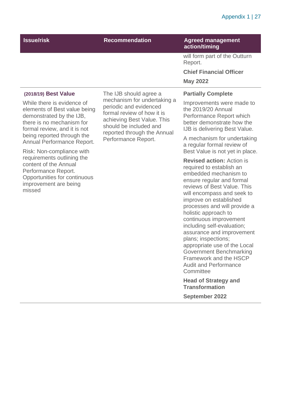## Appendix 1 | 27

| <b>Recommendation</b>                                                                                                                                                                             | <b>Agreed management</b><br>action/timing                                                                                                                                                                                                                                                                                                                                                                                                                                                                                                             |                                                                                                                                            |
|---------------------------------------------------------------------------------------------------------------------------------------------------------------------------------------------------|-------------------------------------------------------------------------------------------------------------------------------------------------------------------------------------------------------------------------------------------------------------------------------------------------------------------------------------------------------------------------------------------------------------------------------------------------------------------------------------------------------------------------------------------------------|--------------------------------------------------------------------------------------------------------------------------------------------|
|                                                                                                                                                                                                   | will form part of the Outturn<br>Report.                                                                                                                                                                                                                                                                                                                                                                                                                                                                                                              |                                                                                                                                            |
|                                                                                                                                                                                                   | <b>Chief Financial Officer</b>                                                                                                                                                                                                                                                                                                                                                                                                                                                                                                                        |                                                                                                                                            |
|                                                                                                                                                                                                   | <b>May 2022</b>                                                                                                                                                                                                                                                                                                                                                                                                                                                                                                                                       |                                                                                                                                            |
| The IJB should agree a                                                                                                                                                                            | <b>Partially Complete</b>                                                                                                                                                                                                                                                                                                                                                                                                                                                                                                                             |                                                                                                                                            |
| mechanism for undertaking a<br>periodic and evidenced<br>formal review of how it is<br>achieving Best Value. This<br>should be included and<br>reported through the Annual<br>Performance Report. | While there is evidence of<br>elements of Best value being<br>there is no mechanism for<br>formal review, and it is not                                                                                                                                                                                                                                                                                                                                                                                                                               | Improvements were made to<br>the 2019/20 Annual<br>Performance Report which<br>better demonstrate how the<br>IJB is delivering Best Value. |
|                                                                                                                                                                                                   | A mechanism for undertaking<br>a regular formal review of<br>Best Value is not yet in place.                                                                                                                                                                                                                                                                                                                                                                                                                                                          |                                                                                                                                            |
|                                                                                                                                                                                                   | <b>Revised action: Action is</b><br>required to establish an<br>embedded mechanism to<br>ensure regular and formal<br>reviews of Best Value. This<br>will encompass and seek to<br>improve on established<br>processes and will provide a<br>holistic approach to<br>continuous improvement<br>including self-evaluation;<br>assurance and improvement<br>plans; inspections;<br>appropriate use of the Local<br><b>Government Benchmarking</b><br>Framework and the HSCP<br><b>Audit and Performance</b><br>Committee<br><b>Head of Strategy and</b> |                                                                                                                                            |
|                                                                                                                                                                                                   |                                                                                                                                                                                                                                                                                                                                                                                                                                                                                                                                                       |                                                                                                                                            |

**Transformation September 2022**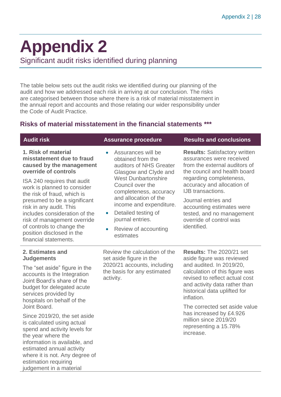## <span id="page-27-0"></span>**Appendix 2**

Significant audit risks identified during planning

The table below sets out the audit risks we identified during our planning of the audit and how we addressed each risk in arriving at our conclusion. The risks are categorised between those where there is a risk of material misstatement in the annual report and accounts and those relating our wider responsibility under the Code of Audit Practice.

## **Risks of material misstatement in the financial statements \*\*\***

| <b>Audit risk</b>                                                                                                                                                                                                                                                                                                                                                                                                                                                                    | <b>Assurance procedure</b>                                                                                                                                                                                                                                                                                               | <b>Results and conclusions</b>                                                                                                                                                                                                                                                                                                                                         |
|--------------------------------------------------------------------------------------------------------------------------------------------------------------------------------------------------------------------------------------------------------------------------------------------------------------------------------------------------------------------------------------------------------------------------------------------------------------------------------------|--------------------------------------------------------------------------------------------------------------------------------------------------------------------------------------------------------------------------------------------------------------------------------------------------------------------------|------------------------------------------------------------------------------------------------------------------------------------------------------------------------------------------------------------------------------------------------------------------------------------------------------------------------------------------------------------------------|
| 1. Risk of material<br>misstatement due to fraud<br>caused by the management<br>override of controls<br>ISA 240 requires that audit<br>work is planned to consider<br>the risk of fraud, which is<br>presumed to be a significant<br>risk in any audit. This<br>includes consideration of the<br>risk of management override<br>of controls to change the<br>position disclosed in the<br>financial statements.                                                                      | Assurances will be<br>obtained from the<br>auditors of NHS Greater<br>Glasgow and Clyde and<br><b>West Dunbartonshire</b><br>Council over the<br>completeness, accuracy<br>and allocation of the<br>income and expenditure.<br>Detailed testing of<br>$\bullet$<br>journal entries.<br>Review of accounting<br>estimates | <b>Results: Satisfactory written</b><br>assurances were received<br>from the external auditors of<br>the council and health board<br>regarding completeness,<br>accuracy and allocation of<br>IJB transactions.<br>Journal entries and<br>accounting estimates were<br>tested, and no management<br>override of control was<br>identified.                             |
| 2. Estimates and<br><b>Judgements</b><br>The "set aside" figure in the<br>accounts is the Integration<br>Joint Board's share of the<br>budget for delegated acute<br>services provided by<br>hospitals on behalf of the<br>Joint Board.<br>Since 2019/20, the set aside<br>is calculated using actual<br>spend and activity levels for<br>the year where the<br>information is available, and<br>estimated annual activity<br>where it is not. Any degree of<br>estimation requiring | Review the calculation of the<br>set aside figure in the<br>2020/21 accounts, including<br>the basis for any estimated<br>activity.                                                                                                                                                                                      | <b>Results: The 2020/21 set</b><br>aside figure was reviewed<br>and audited. In 2019/20,<br>calculation of this figure was<br>revised to reflect actual cost<br>and activity data rather than<br>historical data uplifted for<br>inflation.<br>The corrected set aside value<br>has increased by £4.926<br>million since 2019/20<br>representing a 15.78%<br>increase. |

judgement in a material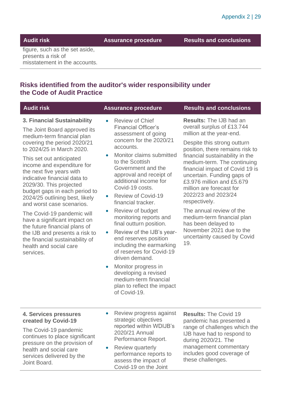**Audit risk Assurance procedure Results and conclusions**

figure, such as the set aside, presents a risk of misstatement in the accounts.

## **Risks identified from the auditor's wider responsibility under the Code of Audit Practice**

| <b>Audit risk</b>                                                                                                                                                                                                                                                                                                                                                                                                                                                                                                                                                                                                 | <b>Assurance procedure</b>                                                                                                                                                                                                                                                                                                                                                                                                                                                                                                                                                                                                                        | <b>Results and conclusions</b>                                                                                                                                                                                                                                                                                                                                                                                                                                                                                                                    |
|-------------------------------------------------------------------------------------------------------------------------------------------------------------------------------------------------------------------------------------------------------------------------------------------------------------------------------------------------------------------------------------------------------------------------------------------------------------------------------------------------------------------------------------------------------------------------------------------------------------------|---------------------------------------------------------------------------------------------------------------------------------------------------------------------------------------------------------------------------------------------------------------------------------------------------------------------------------------------------------------------------------------------------------------------------------------------------------------------------------------------------------------------------------------------------------------------------------------------------------------------------------------------------|---------------------------------------------------------------------------------------------------------------------------------------------------------------------------------------------------------------------------------------------------------------------------------------------------------------------------------------------------------------------------------------------------------------------------------------------------------------------------------------------------------------------------------------------------|
| 3. Financial Sustainability<br>The Joint Board approved its<br>medium-term financial plan<br>covering the period 2020/21<br>to 2024/25 in March 2020.<br>This set out anticipated<br>income and expenditure for<br>the next five years with<br>indicative financial data to<br>2029/30. This projected<br>budget gaps in each period to<br>2024/25 outlining best, likely<br>and worst case scenarios.<br>The Covid-19 pandemic will<br>have a significant impact on<br>the future financial plans of<br>the IJB and presents a risk to<br>the financial sustainability of<br>health and social care<br>services. | <b>Review of Chief</b><br><b>Financial Officer's</b><br>assessment of going<br>concern for the 2020/21<br>accounts.<br>Monitor claims submitted<br>to the Scottish<br>Government and the<br>approval and receipt of<br>additional income for<br>Covid-19 costs.<br><b>Review of Covid-19</b><br>financial tracker.<br>Review of budget<br>monitoring reports and<br>final outturn position.<br>Review of the IJB's year-<br>end reserves position<br>including the earmarking<br>of reserves for Covid-19<br>driven demand.<br>Monitor progress in<br>developing a revised<br>medium-term financial<br>plan to reflect the impact<br>of Covid-19. | <b>Results:</b> The IJB had an<br>overall surplus of £13.744<br>million at the year-end.<br>Despite this strong outturn<br>position, there remains risk to<br>financial sustainability in the<br>medium-term. The continuing<br>financial impact of Covid 19 is<br>uncertain. Funding gaps of<br>£3.976 million and £5.679<br>million are forecast for<br>2022/23 and 2023/24<br>respectively.<br>The annual review of the<br>medium-term financial plan<br>has been delayed to<br>November 2021 due to the<br>uncertainty caused by Covid<br>19. |
| 4. Services pressures<br>created by Covid-19<br>The Covid-19 pandemic<br>continues to place significant<br>pressure on the provision of<br>health and social care<br>services delivered by the<br>Joint Board.                                                                                                                                                                                                                                                                                                                                                                                                    | Review progress against<br>strategic objectives<br>reported within WDIJB's<br>2020/21 Annual<br>Performance Report.<br>Review quarterly<br>performance reports to<br>assess the impact of<br>Covid-19 on the Joint                                                                                                                                                                                                                                                                                                                                                                                                                                | <b>Results: The Covid 19</b><br>pandemic has presented a<br>range of challenges which the<br>IJB have had to respond to<br>during 2020/21. The<br>management commentary<br>includes good coverage of<br>these challenges.                                                                                                                                                                                                                                                                                                                         |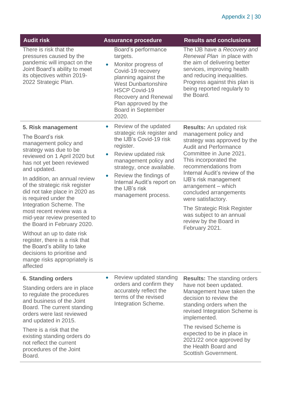| <b>Audit risk</b>                                                                                                                                                                                                                                                                                                                                                                                                                                                                                                                                                                                   | <b>Assurance procedure</b>                                                                                                                                                                                                                                                                           | <b>Results and conclusions</b>                                                                                                                                                                                                                                                                                                                                                                                                                |
|-----------------------------------------------------------------------------------------------------------------------------------------------------------------------------------------------------------------------------------------------------------------------------------------------------------------------------------------------------------------------------------------------------------------------------------------------------------------------------------------------------------------------------------------------------------------------------------------------------|------------------------------------------------------------------------------------------------------------------------------------------------------------------------------------------------------------------------------------------------------------------------------------------------------|-----------------------------------------------------------------------------------------------------------------------------------------------------------------------------------------------------------------------------------------------------------------------------------------------------------------------------------------------------------------------------------------------------------------------------------------------|
| There is risk that the<br>pressures caused by the<br>pandemic will impact on the<br>Joint Board's ability to meet<br>its objectives within 2019-<br>2022 Strategic Plan.                                                                                                                                                                                                                                                                                                                                                                                                                            | Board's performance<br>targets.<br>Monitor progress of<br>Covid-19 recovery<br>planning against the<br><b>West Dunbartonshire</b><br><b>HSCP Covid-19</b><br><b>Recovery and Renewal</b><br>Plan approved by the<br><b>Board in September</b><br>2020.                                               | The IJB have a Recovery and<br>Renewal Plan in place with<br>the aim of delivering better<br>services, improving health<br>and reducing inequalities.<br>Progress against this plan is<br>being reported regularly to<br>the Board.                                                                                                                                                                                                           |
| 5. Risk management<br>The Board's risk<br>management policy and<br>strategy was due to be<br>reviewed on 1 April 2020 but<br>has not yet been reviewed<br>and updated.<br>In addition, an annual review<br>of the strategic risk register<br>did not take place in 2020 as<br>is required under the<br>Integration Scheme. The<br>most recent review was a<br>mid-year review presented to<br>the Board in February 2020.<br>Without an up to date risk<br>register, there is a risk that<br>the Board's ability to take<br>decisions to prioritise and<br>mange risks appropriately is<br>affected | Review of the updated<br>$\bullet$<br>strategic risk register and<br>the IJB's Covid-19 risk<br>register.<br>Review updated risk<br>management policy and<br>strategy, once available.<br>Review the findings of<br>$\bullet$<br>Internal Audit's report on<br>the IJB's risk<br>management process. | <b>Results:</b> An updated risk<br>management policy and<br>strategy was approved by the<br><b>Audit and Performance</b><br>Committee in June 2021.<br>This incorporated the<br>recommendations from<br>Internal Audit's review of the<br>IJB's risk management<br>arrangement - which<br>concluded arrangements<br>were satisfactory.<br>The Strategic Risk Register<br>was subject to an annual<br>review by the Board in<br>February 2021. |
| 6. Standing orders                                                                                                                                                                                                                                                                                                                                                                                                                                                                                                                                                                                  | Review updated standing<br>$\bullet$<br>orders and confirm they<br>accurately reflect the<br>terms of the revised<br><b>Integration Scheme.</b>                                                                                                                                                      | <b>Results:</b> The standing orders<br>have not been updated.<br>Management have taken the<br>decision to review the<br>standing orders when the<br>revised Integration Scheme is<br>implemented.                                                                                                                                                                                                                                             |
| Standing orders are in place<br>to regulate the procedures<br>and business of the Joint<br>Board. The current standing<br>orders were last reviewed<br>and updated in 2015.                                                                                                                                                                                                                                                                                                                                                                                                                         |                                                                                                                                                                                                                                                                                                      |                                                                                                                                                                                                                                                                                                                                                                                                                                               |
| There is a risk that the<br>existing standing orders do<br>not reflect the current<br>procedures of the Joint<br>Board.                                                                                                                                                                                                                                                                                                                                                                                                                                                                             |                                                                                                                                                                                                                                                                                                      | The revised Scheme is<br>expected to be in place in<br>2021/22 once approved by<br>the Health Board and<br><b>Scottish Government.</b>                                                                                                                                                                                                                                                                                                        |
|                                                                                                                                                                                                                                                                                                                                                                                                                                                                                                                                                                                                     |                                                                                                                                                                                                                                                                                                      |                                                                                                                                                                                                                                                                                                                                                                                                                                               |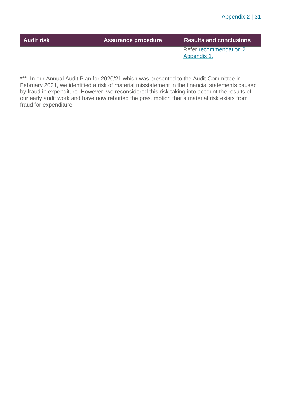| Refer recommendation 2<br>Appendix 1. | <b>Audit risk</b> | <b>Assurance procedure</b> | <b>Results and conclusions</b> |
|---------------------------------------|-------------------|----------------------------|--------------------------------|
|                                       |                   |                            |                                |

\*\*\*- In our Annual Audit Plan for 2020/21 which was presented to the Audit Committee in February 2021, we identified a risk of material misstatement in the financial statements caused by fraud in expenditure. However, we reconsidered this risk taking into account the results of our early audit work and have now rebutted the presumption that a material risk exists from fraud for expenditure.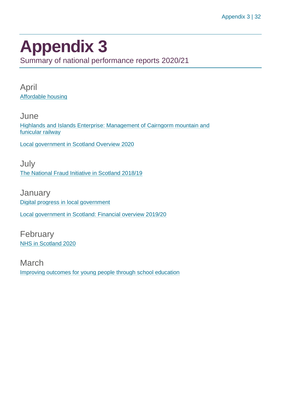## <span id="page-31-0"></span>**Appendix 3**

Summary of national performance reports 2020/21

April [Affordable housing](https://www.audit-scotland.gov.uk/report/affordable-housing)

June [Highlands and Islands Enterprise: Management of Cairngorm mountain and](https://www.audit-scotland.gov.uk/report/highlands-and-islands-enterprise-management-of-cairngorm-mountain-and-funicular-railway)  [funicular railway](https://www.audit-scotland.gov.uk/report/highlands-and-islands-enterprise-management-of-cairngorm-mountain-and-funicular-railway)

[Local government in Scotland Overview 2020](https://www.audit-scotland.gov.uk/report/local-government-in-scotland-overview-2020)

July [The National Fraud Initiative in Scotland 2018/19](https://www.audit-scotland.gov.uk/report/the-national-fraud-initiative-in-scotland-201819)

**January** [Digital progress in local government](https://www.audit-scotland.gov.uk/report/digital-progress-in-local-government) [Local government in Scotland: Financial overview 2019/20](https://www.audit-scotland.gov.uk/report/local-government-in-scotland-financial-overview-201920)

February [NHS in Scotland 2020](https://www.audit-scotland.gov.uk/report/nhs-in-scotland-2020)

March [Improving outcomes for young people through school education](https://www.audit-scotland.gov.uk/report/improving-outcomes-for-young-people-through-school-education)